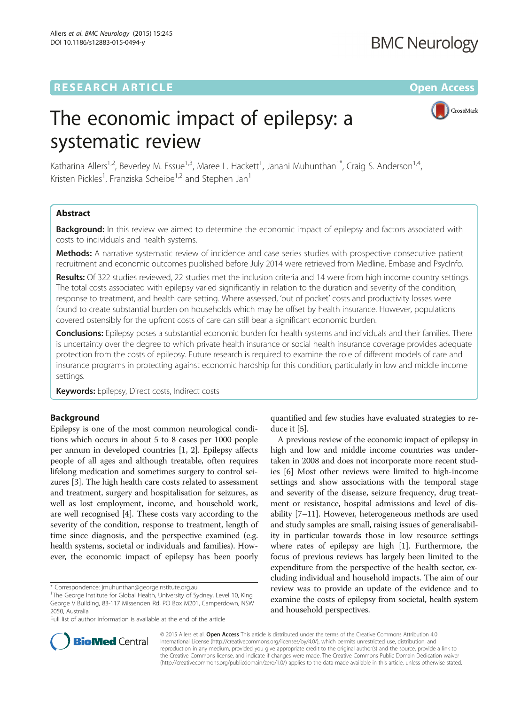# **RESEARCH ARTICLE External Structure Community Community Community Community Community Community Community Community**

CrossMark

# The economic impact of epilepsy: a systematic review

Katharina Allers<sup>1,2</sup>, Beverley M. Essue<sup>1,3</sup>, Maree L. Hackett<sup>1</sup>, Janani Muhunthan<sup>1\*</sup>, Craig S. Anderson<sup>1,4</sup>, Kristen Pickles<sup>1</sup>, Franziska Scheibe<sup>1,2</sup> and Stephen Jan<sup>1</sup>

### Abstract

Background: In this review we aimed to determine the economic impact of epilepsy and factors associated with costs to individuals and health systems.

Methods: A narrative systematic review of incidence and case series studies with prospective consecutive patient recruitment and economic outcomes published before July 2014 were retrieved from Medline, Embase and PsycInfo.

Results: Of 322 studies reviewed, 22 studies met the inclusion criteria and 14 were from high income country settings. The total costs associated with epilepsy varied significantly in relation to the duration and severity of the condition, response to treatment, and health care setting. Where assessed, 'out of pocket' costs and productivity losses were found to create substantial burden on households which may be offset by health insurance. However, populations covered ostensibly for the upfront costs of care can still bear a significant economic burden.

Conclusions: Epilepsy poses a substantial economic burden for health systems and individuals and their families. There is uncertainty over the degree to which private health insurance or social health insurance coverage provides adequate protection from the costs of epilepsy. Future research is required to examine the role of different models of care and insurance programs in protecting against economic hardship for this condition, particularly in low and middle income settings.

**Keywords:** Epilepsy, Direct costs, Indirect costs

### Background

Epilepsy is one of the most common neurological conditions which occurs in about 5 to 8 cases per 1000 people per annum in developed countries [\[1](#page-14-0), [2\]](#page-14-0). Epilepsy affects people of all ages and although treatable, often requires lifelong medication and sometimes surgery to control seizures [[3](#page-14-0)]. The high health care costs related to assessment and treatment, surgery and hospitalisation for seizures, as well as lost employment, income, and household work, are well recognised [[4](#page-14-0)]. These costs vary according to the severity of the condition, response to treatment, length of time since diagnosis, and the perspective examined (e.g. health systems, societal or individuals and families). However, the economic impact of epilepsy has been poorly

\* Correspondence: [jmuhunthan@georgeinstitute.org.au](mailto:jmuhunthan@georgeinstitute.org.au) <sup>1</sup>

Full list of author information is available at the end of the article

quantified and few studies have evaluated strategies to reduce it [[5](#page-14-0)].

A previous review of the economic impact of epilepsy in high and low and middle income countries was undertaken in 2008 and does not incorporate more recent studies [[6](#page-14-0)] Most other reviews were limited to high-income settings and show associations with the temporal stage and severity of the disease, seizure frequency, drug treatment or resistance, hospital admissions and level of disability [\[7](#page-14-0)–[11\]](#page-14-0). However, heterogeneous methods are used and study samples are small, raising issues of generalisability in particular towards those in low resource settings where rates of epilepsy are high [\[1](#page-14-0)]. Furthermore, the focus of previous reviews has largely been limited to the expenditure from the perspective of the health sector, excluding individual and household impacts. The aim of our review was to provide an update of the evidence and to examine the costs of epilepsy from societal, health system and household perspectives.



© 2015 Allers et al. Open Access This article is distributed under the terms of the Creative Commons Attribution 4.0 International License [\(http://creativecommons.org/licenses/by/4.0/](http://creativecommons.org/licenses/by/4.0/)), which permits unrestricted use, distribution, and reproduction in any medium, provided you give appropriate credit to the original author(s) and the source, provide a link to the Creative Commons license, and indicate if changes were made. The Creative Commons Public Domain Dedication waiver [\(http://creativecommons.org/publicdomain/zero/1.0/](http://creativecommons.org/publicdomain/zero/1.0/)) applies to the data made available in this article, unless otherwise stated.

<sup>&</sup>lt;sup>1</sup>The George Institute for Global Health, University of Sydney, Level 10, King George V Building, 83-117 Missenden Rd, PO Box M201, Camperdown, NSW 2050, Australia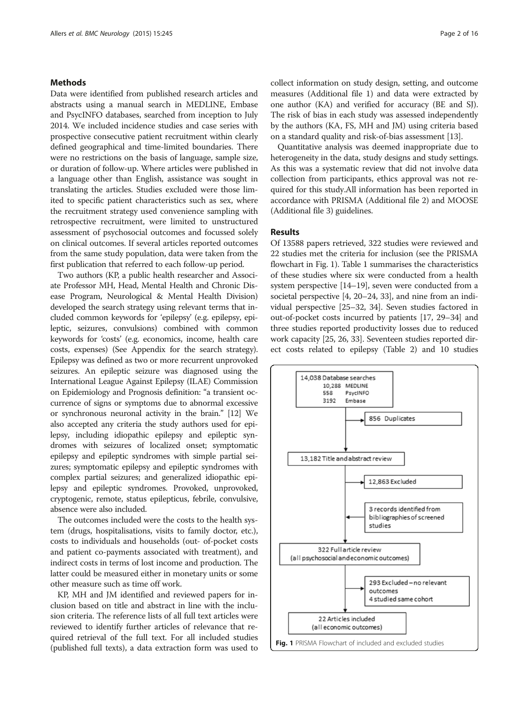#### **Methods**

Data were identified from published research articles and abstracts using a manual search in MEDLINE, Embase and PsycINFO databases, searched from inception to July 2014. We included incidence studies and case series with prospective consecutive patient recruitment within clearly defined geographical and time-limited boundaries. There were no restrictions on the basis of language, sample size, or duration of follow-up. Where articles were published in a language other than English, assistance was sought in translating the articles. Studies excluded were those limited to specific patient characteristics such as sex, where the recruitment strategy used convenience sampling with retrospective recruitment, were limited to unstructured assessment of psychosocial outcomes and focussed solely on clinical outcomes. If several articles reported outcomes from the same study population, data were taken from the first publication that referred to each follow-up period.

Two authors (KP, a public health researcher and Associate Professor MH, Head, Mental Health and Chronic Disease Program, Neurological & Mental Health Division) developed the search strategy using relevant terms that included common keywords for 'epilepsy' (e.g. epilepsy, epileptic, seizures, convulsions) combined with common keywords for 'costs' (e.g. economics, income, health care costs, expenses) (See [Appendix](#page-13-0) for the search strategy). Epilepsy was defined as two or more recurrent unprovoked seizures. An epileptic seizure was diagnosed using the International League Against Epilepsy (ILAE) Commission on Epidemiology and Prognosis definition: "a transient occurrence of signs or symptoms due to abnormal excessive or synchronous neuronal activity in the brain." [\[12\]](#page-14-0) We also accepted any criteria the study authors used for epilepsy, including idiopathic epilepsy and epileptic syndromes with seizures of localized onset; symptomatic epilepsy and epileptic syndromes with simple partial seizures; symptomatic epilepsy and epileptic syndromes with complex partial seizures; and generalized idiopathic epilepsy and epileptic syndromes. Provoked, unprovoked, cryptogenic, remote, status epilepticus, febrile, convulsive, absence were also included.

The outcomes included were the costs to the health system (drugs, hospitalisations, visits to family doctor, etc.), costs to individuals and households (out- of-pocket costs and patient co-payments associated with treatment), and indirect costs in terms of lost income and production. The latter could be measured either in monetary units or some other measure such as time off work.

KP, MH and JM identified and reviewed papers for inclusion based on title and abstract in line with the inclusion criteria. The reference lists of all full text articles were reviewed to identify further articles of relevance that required retrieval of the full text. For all included studies (published full texts), a data extraction form was used to

collect information on study design, setting, and outcome measures (Additional file [1](#page-14-0)) and data were extracted by one author (KA) and verified for accuracy (BE and SJ). The risk of bias in each study was assessed independently by the authors (KA, FS, MH and JM) using criteria based on a standard quality and risk-of-bias assessment [\[13](#page-14-0)].

Quantitative analysis was deemed inappropriate due to heterogeneity in the data, study designs and study settings. As this was a systematic review that did not involve data collection from participants, ethics approval was not required for this study.All information has been reported in accordance with PRISMA (Additional file [2](#page-14-0)) and MOOSE (Additional file [3](#page-14-0)) guidelines.

#### Results

Of 13588 papers retrieved, 322 studies were reviewed and 22 studies met the criteria for inclusion (see the PRISMA flowchart in Fig. 1). Table [1](#page-2-0) summarises the characteristics of these studies where six were conducted from a health system perspective [\[14](#page-14-0)–[19](#page-15-0)], seven were conducted from a societal perspective [\[4](#page-14-0), [20](#page-15-0)–[24](#page-15-0), [33](#page-15-0)], and nine from an individual perspective [[25](#page-15-0)–[32, 34\]](#page-15-0). Seven studies factored in out-of-pocket costs incurred by patients [\[17, 29](#page-15-0)–[34\]](#page-15-0) and three studies reported productivity losses due to reduced work capacity [\[25, 26](#page-15-0), [33](#page-15-0)]. Seventeen studies reported direct costs related to epilepsy (Table [2\)](#page-5-0) and 10 studies

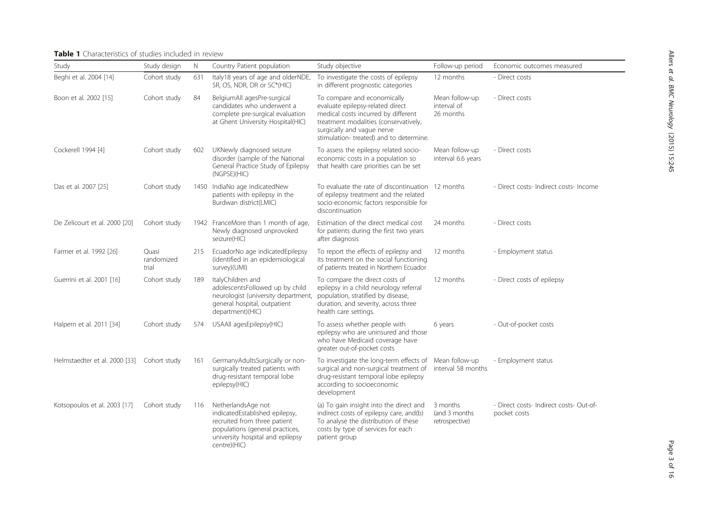<span id="page-2-0"></span>Table 1 Characteristics of studies included in review

| Study                         | Study design                 | N   | Country Patient population                                                                                                                                                  | Study objective                                                                                                                                                                                                          | Follow-up period                            | Economic outcomes measured                              |
|-------------------------------|------------------------------|-----|-----------------------------------------------------------------------------------------------------------------------------------------------------------------------------|--------------------------------------------------------------------------------------------------------------------------------------------------------------------------------------------------------------------------|---------------------------------------------|---------------------------------------------------------|
| Beghi et al. 2004 [14]        | Cohort study                 | 631 | Italy18 years of age and olderNDE,<br>SR, OS, NDR, DR or SC*(HIC)                                                                                                           | To investigate the costs of epilepsy<br>in different prognostic categories                                                                                                                                               | 12 months                                   | - Direct costs                                          |
| Boon et al. 2002 [15]         | Cohort study                 | 84  | BelgiumAll agesPre-surgical<br>candidates who underwent a<br>complete pre-surgical evaluation<br>at Ghent University Hospital(HIC)                                          | To compare and economically<br>evaluate epilepsy-related direct<br>medical costs incurred by different<br>treatment modalities (conservatively,<br>surgically and vague nerve<br>stimulation- treated) and to determine. | Mean follow-up<br>interval of<br>26 months  | - Direct costs                                          |
| Cockerell 1994 [4]            | Cohort study                 | 602 | UKNewly diagnosed seizure<br>disorder (sample of the National<br>General Practice Study of Epilepsy<br>(NGPSE)(HIC)                                                         | To assess the epilepsy related socio-<br>economic costs in a population so<br>that health care priorities can be set                                                                                                     | Mean follow-up<br>interval 6.6 years        | - Direct costs                                          |
| Das et al. 2007 [25]          | Cohort study                 |     | 1450 IndiaNo age indicatedNew<br>patients with epilepsy in the<br>Burdwan district(LMIC)                                                                                    | To evaluate the rate of discontinuation 12 months<br>of epilepsy treatment and the related<br>socio-economic factors responsible for<br>discontinuation                                                                  |                                             | - Direct costs- Indirect costs- Income                  |
| De Zelicourt et al. 2000 [20] | Cohort study                 |     | 1942 FranceMore than 1 month of age,<br>Newly diagnosed unprovoked<br>seizure(HIC)                                                                                          | Estimation of the direct medical cost<br>for patients during the first two years<br>after diagnosis                                                                                                                      | 24 months                                   | - Direct costs                                          |
| Farmer et al. 1992 [26]       | Ouasi<br>randomized<br>trial | 215 | EcuadorNo age indicatedEpilepsy<br>(identified in an epidemiological<br>survey)(UMI)                                                                                        | To report the effects of epilepsy and<br>its treatment on the social functioning<br>of patients treated in Northern Ecuador                                                                                              | 12 months                                   | - Employment status                                     |
| Guerrini et al. 2001 [16]     | Cohort study                 | 189 | ItalyChildren and<br>adolescentsFollowed up by child<br>neurologist (university department,<br>general hospital, outpatient<br>department)(HIC)                             | To compare the direct costs of<br>epilepsy in a child neurology referral<br>population, stratified by disease,<br>duration, and severity, across three<br>health care settings.                                          | 12 months                                   | - Direct costs of epilepsy                              |
| Halpern et al. 2011 [34]      | Cohort study                 | 574 | USAAII agesEpilepsy(HIC)                                                                                                                                                    | To assess whether people with<br>epilepsy who are uninsured and those<br>who have Medicaid coverage have<br>greater out-of-pocket costs                                                                                  | 6 years                                     | - Out-of-pocket costs                                   |
| Helmstaedter et al. 2000 [33] | Cohort study                 | 161 | GermanyAdultsSurgically or non-<br>surgically treated patients with<br>drug-resistant temporal lobe<br>epilepsy(HIC)                                                        | To investigate the long-term effects of Mean follow-up<br>surgical and non-surgical treatment of interval 58 months<br>drug-resistant temporal lobe epilepsy<br>according to socioeconomic<br>development                |                                             | - Employment status                                     |
| Kotsopoulos et al. 2003 [17]  | Cohort study                 | 116 | NetherlandsAge not<br>indicatedEstablished epilepsy,<br>recruited from three patient<br>populations (general practices,<br>university hospital and epilepsy<br>centre)(HIC) | (a) To gain insight into the direct and<br>indirect costs of epilepsy care, and(b)<br>To analyse the distribution of these<br>costs by type of services for each<br>patient group                                        | 3 months<br>(and 3 months<br>retrospective) | - Direct costs- Indirect costs- Out-of-<br>pocket costs |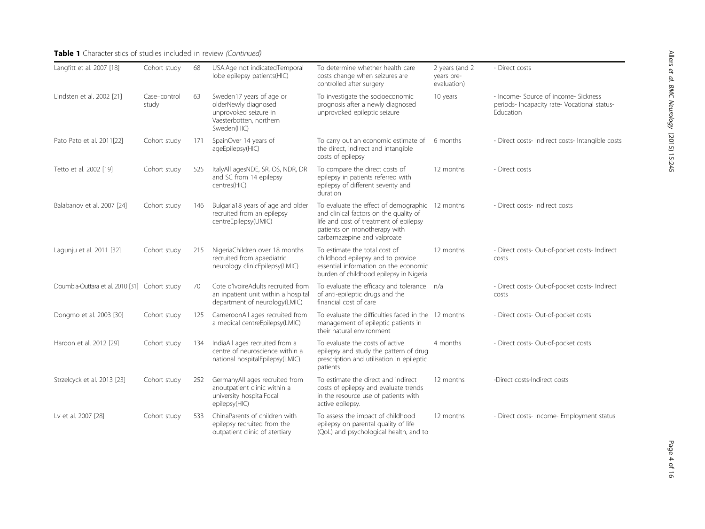# Table 1 Characteristics of studies included in review (Continued)

| Langfitt et al. 2007 [18]                     | Cohort study          | 68  | USA.Age not indicatedTemporal<br>lobe epilepsy patients(HIC)                                                        | To determine whether health care<br>costs change when seizures are<br>controlled after surgery                                                                                                     | 2 years (and 2<br>years pre-<br>evaluation) | - Direct costs                                                                                    |
|-----------------------------------------------|-----------------------|-----|---------------------------------------------------------------------------------------------------------------------|----------------------------------------------------------------------------------------------------------------------------------------------------------------------------------------------------|---------------------------------------------|---------------------------------------------------------------------------------------------------|
| Lindsten et al. 2002 [21]                     | Case-control<br>study | 63  | Sweden17 years of age or<br>olderNewly diagnosed<br>unprovoked seizure in<br>Vaesterbotten, northern<br>Sweden(HIC) | To investigate the socioeconomic<br>prognosis after a newly diagnosed<br>unprovoked epileptic seizure                                                                                              | 10 years                                    | - Income- Source of income- Sickness<br>periods- Incapacity rate- Vocational status-<br>Education |
| Pato Pato et al. 2011[22]                     | Cohort study          | 171 | SpainOver 14 years of<br>ageEpilepsy(HIC)                                                                           | To carry out an economic estimate of<br>the direct, indirect and intangible<br>costs of epilepsy                                                                                                   | 6 months                                    | - Direct costs- Indirect costs- Intangible costs                                                  |
| Tetto et al. 2002 [19]                        | Cohort study          | 525 | ItalyAll agesNDE, SR, OS, NDR, DR<br>and SC from 14 epilepsy<br>centres(HIC)                                        | To compare the direct costs of<br>epilepsy in patients referred with<br>epilepsy of different severity and<br>duration                                                                             | 12 months                                   | - Direct costs                                                                                    |
| Balabanov et al. 2007 [24]                    | Cohort study          | 146 | Bulgaria18 years of age and older<br>recruited from an epilepsy<br>centreEpilepsy(UMIC)                             | To evaluate the effect of demographic 12 months<br>and clinical factors on the quality of<br>life and cost of treatment of epilepsy<br>patients on monotherapy with<br>carbamazepine and valproate |                                             | - Direct costs- Indirect costs                                                                    |
| Lagunju et al. 2011 [32]                      | Cohort study          | 215 | NigeriaChildren over 18 months<br>recruited from apaediatric<br>neurology clinicEpilepsy(LMIC)                      | To estimate the total cost of<br>childhood epilepsy and to provide<br>essential information on the economic<br>burden of childhood epilepsy in Nigeria                                             | 12 months                                   | - Direct costs- Out-of-pocket costs- Indirect<br>costs                                            |
| Doumbia-Outtara et al. 2010 [31] Cohort study |                       | 70  | Cote d'IvoireAdults recruited from<br>an inpatient unit within a hospital<br>department of neurology(LMIC)          | To evaluate the efficacy and tolerance n/a<br>of anti-epileptic drugs and the<br>financial cost of care                                                                                            |                                             | - Direct costs- Out-of-pocket costs- Indirect<br>costs                                            |
| Dongmo et al. 2003 [30]                       | Cohort study          | 125 | CameroonAll ages recruited from<br>a medical centreEpilepsy(LMIC)                                                   | To evaluate the difficulties faced in the 12 months<br>management of epileptic patients in<br>their natural environment                                                                            |                                             | - Direct costs- Out-of-pocket costs                                                               |
| Haroon et al. 2012 [29]                       | Cohort study          | 134 | IndiaAll ages recruited from a<br>centre of neuroscience within a<br>national hospitalEpilepsy(LMIC)                | To evaluate the costs of active<br>epilepsy and study the pattern of drug<br>prescription and utilisation in epileptic<br>patients                                                                 | 4 months                                    | - Direct costs- Out-of-pocket costs                                                               |
| Strzelcyck et al. 2013 [23]                   | Cohort study          | 252 | GermanyAll ages recruited from<br>anoutpatient clinic within a<br>university hospitalFocal<br>epilepsy(HIC)         | To estimate the direct and indirect<br>costs of epilepsy and evaluate trends<br>in the resource use of patients with<br>active epilepsy.                                                           | 12 months                                   | -Direct costs-Indirect costs                                                                      |
| Lv et al. 2007 [28]                           | Cohort study          | 533 | ChinaParents of children with<br>epilepsy recruited from the<br>outpatient clinic of atertiary                      | To assess the impact of childhood<br>epilepsy on parental quality of life<br>(QoL) and psychological health, and to                                                                                | 12 months                                   | - Direct costs- Income- Employment status                                                         |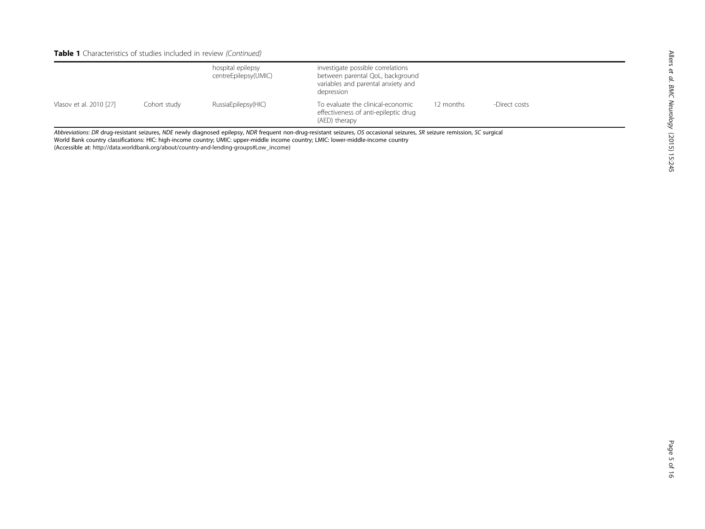# Table 1 Characteristics of studies included in review (Continued)

|                         |              | hospital epilepsy<br>centreEpilepsy(UMIC) | investigate possible correlations<br>between parental QoL, background<br>variables and parental anxiety and<br>depression |           |               |
|-------------------------|--------------|-------------------------------------------|---------------------------------------------------------------------------------------------------------------------------|-----------|---------------|
| Vlasov et al. 2010 [27] | Cohort study | Russia Epilepsy(HIC)                      | To evaluate the clinical-economic<br>effectiveness of anti-epileptic drug<br>(AED) therapy                                | 12 months | -Direct costs |

Abbreviations: DR drug-resistant seizures, NDE newly diagnosed epilepsy, NDR frequent non-drug-resistant seizures, OS occasional seizures, SR seizure remission, SC surgical World Bank country classifications: HIC: high-income country; UMIC: upper-middle income country; LMIC: lower-middle-income country (Accessible at: [http://data.worldbank.org/about/country-and-lending-groups#Low\\_income](http://data.worldbank.org/about/country-and-lending-groups#Low_income))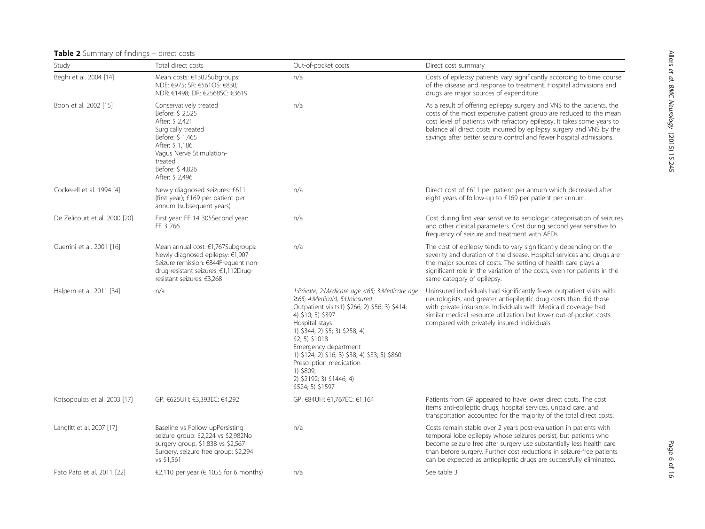# <span id="page-5-0"></span>Table 2 Summary of findings – direct costs

| Study                         | Total direct costs                                                                                                                                                                                     | Out-of-pocket costs                                                                                                                                                                                                                                                                                                                                                                          | Direct cost summary                                                                                                                                                                                                                                                                                                                                                  |
|-------------------------------|--------------------------------------------------------------------------------------------------------------------------------------------------------------------------------------------------------|----------------------------------------------------------------------------------------------------------------------------------------------------------------------------------------------------------------------------------------------------------------------------------------------------------------------------------------------------------------------------------------------|----------------------------------------------------------------------------------------------------------------------------------------------------------------------------------------------------------------------------------------------------------------------------------------------------------------------------------------------------------------------|
| Beghi et al. 2004 [14]        | Mean costs: €1302Subgroups:<br>NDE: €975; SR: €561OS: €830;<br>NDR: €1498; DR: €2568SC: €3619                                                                                                          | n/a                                                                                                                                                                                                                                                                                                                                                                                          | Costs of epilepsy patients vary significantly according to time course<br>of the disease and response to treatment. Hospital admissions and<br>drugs are major sources of expenditure                                                                                                                                                                                |
| Boon et al. 2002 [15]         | Conservatively treated<br>Before: \$ 2,525<br>After: \$ 2,421<br>Surgically treated<br>Before: \$1,465<br>After: \$ 1,186<br>Vagus Nerve Stimulation-<br>treated<br>Before: \$4,826<br>After: \$ 2,496 | n/a                                                                                                                                                                                                                                                                                                                                                                                          | As a result of offering epilepsy surgery and VNS to the patients, the<br>costs of the most expensive patient group are reduced to the mean<br>cost level of patients with refractory epilepsy. It takes some years to<br>balance all direct costs incurred by epilepsy surgery and VNS by the<br>savings after better seizure control and fewer hospital admissions. |
| Cockerell et al. 1994 [4]     | Newly diagnosed seizures: £611<br>(first year); £169 per patient per<br>annum (subsequent years)                                                                                                       | n/a                                                                                                                                                                                                                                                                                                                                                                                          | Direct cost of £611 per patient per annum which decreased after<br>eight years of follow-up to £169 per patient per annum.                                                                                                                                                                                                                                           |
| De Zelicourt et al. 2000 [20] | First year: FF 14 305Second year:<br>FF 3 766                                                                                                                                                          | n/a                                                                                                                                                                                                                                                                                                                                                                                          | Cost during first year sensitive to aetiologic categorisation of seizures<br>and other clinical parameters. Cost during second year sensitive to<br>frequency of seizure and treatment with AEDs.                                                                                                                                                                    |
| Guerrini et al. 2001 [16]     | Mean annual cost: €1,767Subgroups:<br>Newly diagnosed epilepsy: €1,907<br>Seizure remission: €844Frequent non-<br>drug-resistant seizures: €1,112Drug-<br>resistant seizures: €3,268                   | n/a                                                                                                                                                                                                                                                                                                                                                                                          | The cost of epilepsy tends to vary significantly depending on the<br>severity and duration of the disease. Hospital services and drugs are<br>the major sources of costs. The setting of health care plays a<br>significant role in the variation of the costs, even for patients in the<br>same category of epilepsy.                                               |
| Halpern et al. 2011 [34]      | n/a                                                                                                                                                                                                    | 1:Private; 2:Medicare age <65; 3:Medicare age<br>≥65; 4:Medicaid, 5:Uninsured<br>Outpatient visits1) \$266; 2) \$56; 3) \$414;<br>4) \$10; 5) \$397<br>Hospital stays<br>$1)$ \$344; 2) \$5; 3) \$258; 4)<br>\$2; 5) \$1018<br>Emergency department<br>1) \$124; 2) \$16; 3) \$38; 4) \$33; 5) \$860<br>Prescription medication<br>1) \$809;<br>2) \$2192; 3) \$1446; 4)<br>\$524; 5) \$1597 | Uninsured individuals had significantly fewer outpatient visits with<br>neurologists, and greater antiepileptic drug costs than did those<br>with private insurance. Individuals with Medicaid coverage had<br>similar medical resource utilization but lower out-of-pocket costs<br>compared with privately insured individuals.                                    |
| Kotsopoulos et al. 2003 [17]  | GP: €625UH: €3,393EC: €4,292                                                                                                                                                                           | GP: €84UH: €1,767EC: €1,164                                                                                                                                                                                                                                                                                                                                                                  | Patients from GP appeared to have lower direct costs. The cost<br>items anti-epileptic drugs, hospital services, unpaid care, and<br>transportation accounted for the majority of the total direct costs.                                                                                                                                                            |
| Langfitt et al. 2007 [17]     | Baseline vs Follow upPersisting<br>seizure group: \$2,224 vs \$2,982No<br>surgery group: \$1,838 vs \$2,567<br>Surgery, seizure free group: \$2,294<br>vs \$1.561                                      | n/a                                                                                                                                                                                                                                                                                                                                                                                          | Costs remain stable over 2 years post-evaluation in patients with<br>temporal lobe epilepsy whose seizures persist, but patients who<br>become seizure free after surgery use substantially less health care<br>than before surgery. Further cost reductions in seizure-free patients<br>can be expected as antiepileptic drugs are successfully eliminated.         |
| Pato Pato et al. 2011 [22]    | €2,110 per year (€ 1055 for 6 months)                                                                                                                                                                  | n/a                                                                                                                                                                                                                                                                                                                                                                                          | See table 3                                                                                                                                                                                                                                                                                                                                                          |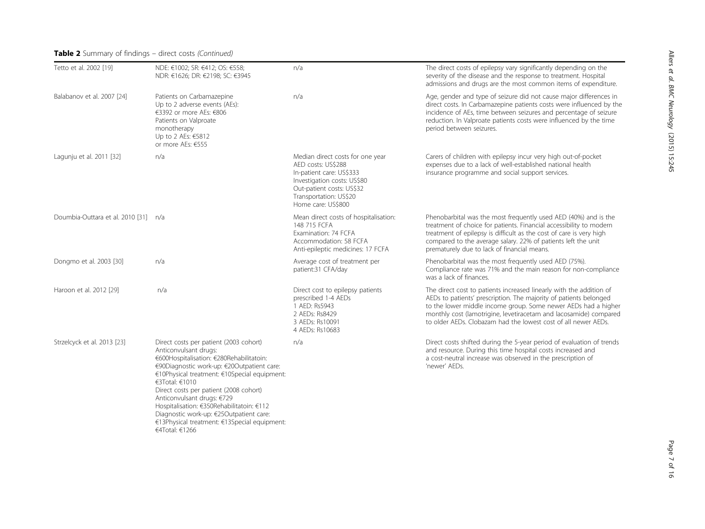Table 2 Summary of findings - direct costs (Continued)

| Tetto et al. 2002 [19]               | NDE: €1002; SR: €412; OS: €558;<br>NDR: €1626; DR: €2198; SC: €3945                                                                                                                                                                                                                                                                                                                                                                                           | n/a                                                                                                                                                                                            | The direct costs of epilepsy vary significantly depending on the<br>severity of the disease and the response to treatment. Hospital<br>admissions and drugs are the most common items of expenditure.                                                                                                                                             |
|--------------------------------------|---------------------------------------------------------------------------------------------------------------------------------------------------------------------------------------------------------------------------------------------------------------------------------------------------------------------------------------------------------------------------------------------------------------------------------------------------------------|------------------------------------------------------------------------------------------------------------------------------------------------------------------------------------------------|---------------------------------------------------------------------------------------------------------------------------------------------------------------------------------------------------------------------------------------------------------------------------------------------------------------------------------------------------|
| Balabanov et al. 2007 [24]           | Patients on Carbamazepine<br>Up to 2 adverse events (AEs):<br>€3392 or more AFs: €806<br>Patients on Valproate<br>monotherapy<br>Up to 2 AEs: €5812<br>or more AEs: €555                                                                                                                                                                                                                                                                                      | n/a                                                                                                                                                                                            | Age, gender and type of seizure did not cause major differences in<br>direct costs. In Carbamazepine patients costs were influenced by the<br>incidence of AEs, time between seizures and percentage of seizure<br>reduction. In Valproate patients costs were influenced by the time<br>period between seizures.                                 |
| Lagunju et al. 2011 [32]             | n/a                                                                                                                                                                                                                                                                                                                                                                                                                                                           | Median direct costs for one year<br>AED costs: US\$288<br>In-patient care: US\$333<br>Investigation costs: US\$80<br>Out-patient costs: US\$32<br>Transportation: US\$20<br>Home care: US\$800 | Carers of children with epilepsy incur very high out-of-pocket<br>expenses due to a lack of well-established national health<br>insurance programme and social support services.                                                                                                                                                                  |
| Doumbia-Outtara et al. 2010 [31] n/a |                                                                                                                                                                                                                                                                                                                                                                                                                                                               | Mean direct costs of hospitalisation:<br>148 715 FCFA<br>Examination: 74 FCFA<br>Accommodation: 58 FCFA<br>Anti-epileptic medicines: 17 FCFA                                                   | Phenobarbital was the most frequently used AED (40%) and is the<br>treatment of choice for patients. Financial accessibility to modern<br>treatment of epilepsy is difficult as the cost of care is very high<br>compared to the average salary. 22% of patients left the unit<br>prematurely due to lack of financial means.                     |
| Dongmo et al. 2003 [30]              | n/a                                                                                                                                                                                                                                                                                                                                                                                                                                                           | Average cost of treatment per<br>patient:31 CFA/day                                                                                                                                            | Phenobarbital was the most frequently used AED (75%).<br>Compliance rate was 71% and the main reason for non-compliance<br>was a lack of finances.                                                                                                                                                                                                |
| Haroon et al. 2012 [29]              | n/a                                                                                                                                                                                                                                                                                                                                                                                                                                                           | Direct cost to epilepsy patients<br>prescribed 1-4 AEDs<br>1 AED: Rs5943<br>2 AEDs: Rs8429<br>3 AEDs: Rs10091<br>4 AEDs: Rs10683                                                               | The direct cost to patients increased linearly with the addition of<br>AEDs to patients' prescription. The majority of patients belonged<br>to the lower middle income group. Some newer AEDs had a higher<br>monthly cost (lamotrigine, levetiracetam and lacosamide) compared<br>to older AEDs. Clobazam had the lowest cost of all newer AEDs. |
| Strzelcyck et al. 2013 [23]          | Direct costs per patient (2003 cohort)<br>Anticonvulsant drugs:<br>€600Hospitalisation: €280Rehabilitatoin:<br>€90Diagnostic work-up: €20Outpatient care:<br>€10Physical treatment: €10Special equipment:<br>€3Total: €1010<br>Direct costs per patient (2008 cohort)<br>Anticonvulsant drugs: €729<br>Hospitalisation: €350Rehabilitatoin: €112<br>Diagnostic work-up: €25Outpatient care:<br>€13Physical treatment: €13Special equipment:<br>€4Total: €1266 | n/a                                                                                                                                                                                            | Direct costs shifted during the 5-year period of evaluation of trends<br>and resource. During this time hospital costs increased and<br>a cost-neutral increase was observed in the prescription of<br>'newer' AEDs.                                                                                                                              |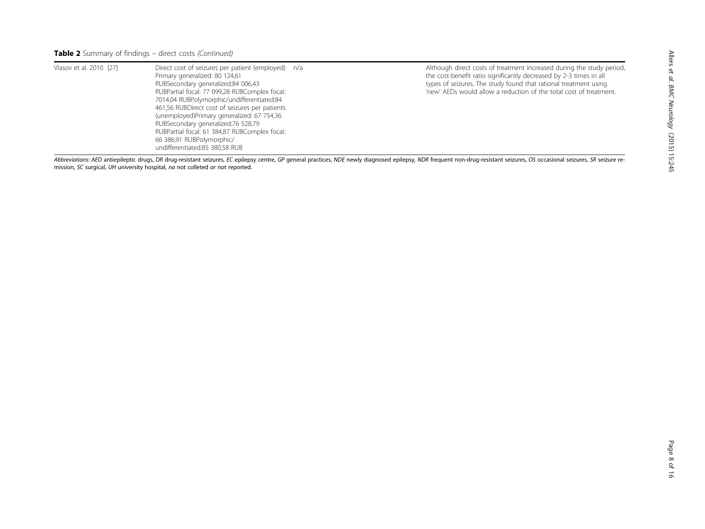# Table 2 Summary of findings – direct costs (Continued)

| Direct cost of seizures per patient (employed) n/a<br>Vlasov et al. 2010 [27]<br>Primary generalized: 80 124,61<br>RUBSecondary generalized:84 006,43<br>RUBPartial focal: 77 099,28 RUBComplex focal:<br>7014,04 RUBPolymorphic/undifferentiated:84<br>461,56 RUBDirect cost of seizures per patients<br>(unemployed)Primary generalized: 67 754,36<br>RUBSecondary generalized: 76 528, 79<br>RUBPartial focal: 61 384,87 RUBComplex focal:<br>66 386,91 RUBPolymorphic/<br>undifferentiated:85 380,58 RUB | Although direct costs of treatment increased during the study period,<br>the cost-benefit ratio significantly decreased by 2-3 times in all<br>types of seizures. The study found that rational treatment using<br>'new' AEDs would allow a reduction of the total cost of treatment. |
|--------------------------------------------------------------------------------------------------------------------------------------------------------------------------------------------------------------------------------------------------------------------------------------------------------------------------------------------------------------------------------------------------------------------------------------------------------------------------------------------------------------|---------------------------------------------------------------------------------------------------------------------------------------------------------------------------------------------------------------------------------------------------------------------------------------|
|--------------------------------------------------------------------------------------------------------------------------------------------------------------------------------------------------------------------------------------------------------------------------------------------------------------------------------------------------------------------------------------------------------------------------------------------------------------------------------------------------------------|---------------------------------------------------------------------------------------------------------------------------------------------------------------------------------------------------------------------------------------------------------------------------------------|

Abbreviations: AED antiepileptic drugs, DR drug-resistant seizures, EC epilepsy centre, GP general practices, NDE newly diagnosed epilepsy, NDR frequent non-drug-resistant seizures, OS occasional seizures, SR seizure remission, SC surgical, UH university hospital, na not colleted or not reported.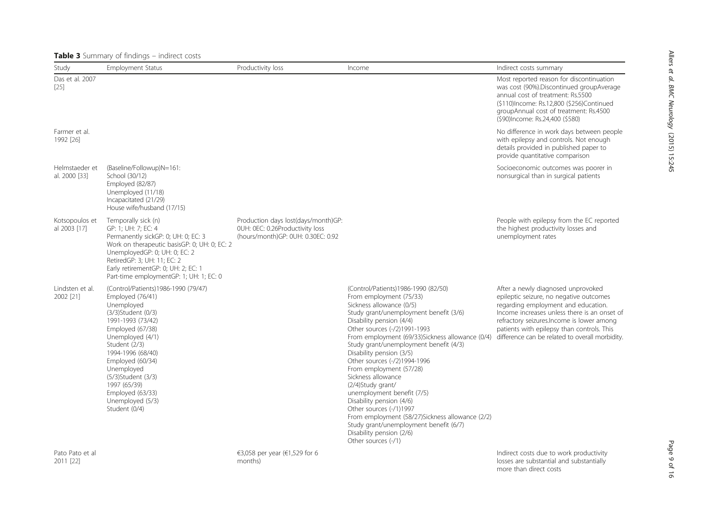<span id="page-8-0"></span>Table 3 Summary of findings – indirect costs

| Study                           | <b>Employment Status</b>                                                                                                                                                                                                                                                                                                        | Productivity loss                                                                                            | Income                                                                                                                                                                                                                                                                                                                                                                                                                                                                                                                                                                                                                                                                                                               | Indirect costs summary                                                                                                                                                                                                                                           |
|---------------------------------|---------------------------------------------------------------------------------------------------------------------------------------------------------------------------------------------------------------------------------------------------------------------------------------------------------------------------------|--------------------------------------------------------------------------------------------------------------|----------------------------------------------------------------------------------------------------------------------------------------------------------------------------------------------------------------------------------------------------------------------------------------------------------------------------------------------------------------------------------------------------------------------------------------------------------------------------------------------------------------------------------------------------------------------------------------------------------------------------------------------------------------------------------------------------------------------|------------------------------------------------------------------------------------------------------------------------------------------------------------------------------------------------------------------------------------------------------------------|
| Das et al. 2007<br>$[25]$       |                                                                                                                                                                                                                                                                                                                                 |                                                                                                              |                                                                                                                                                                                                                                                                                                                                                                                                                                                                                                                                                                                                                                                                                                                      | Most reported reason for discontinuation<br>was cost (90%).Discontinued groupAverage<br>annual cost of treatment: Rs.5500<br>(\$110)Income: Rs.12,800 (\$256)Continued<br>groupAnnual cost of treatment: Rs.4500<br>(\$90)Income: Rs.24,400 (\$580)              |
| Farmer et al.<br>1992 [26]      |                                                                                                                                                                                                                                                                                                                                 |                                                                                                              |                                                                                                                                                                                                                                                                                                                                                                                                                                                                                                                                                                                                                                                                                                                      | No difference in work days between people<br>with epilepsy and controls. Not enough<br>details provided in published paper to<br>provide quantitative comparison                                                                                                 |
| Helmstaeder et<br>al. 2000 [33] | (Baseline/Followup)N=161:<br>School (30/12)<br>Employed (82/87)<br>Unemployed (11/18)<br>Incapacitated (21/29)<br>House wife/husband (17/15)                                                                                                                                                                                    |                                                                                                              |                                                                                                                                                                                                                                                                                                                                                                                                                                                                                                                                                                                                                                                                                                                      | Socioeconomic outcomes was poorer in<br>nonsurgical than in surgical patients                                                                                                                                                                                    |
| Kotsopoulos et<br>al 2003 [17]  | Temporally sick (n)<br>GP: 1; UH: 7; EC: 4<br>Permanently sickGP: 0; UH: 0; EC: 3<br>Work on therapeutic basisGP: 0; UH: 0; EC: 2<br>UnemployedGP: 0; UH: 0; EC: 2<br>RetiredGP: 3; UH: 11; EC: 2<br>Early retirementGP: 0; UH: 2; EC: 1<br>Part-time employmentGP: 1; UH: 1; EC: 0                                             | Production days lost(days/month)GP:<br>OUH: OEC: 0.26Productivity loss<br>(hours/month)GP: 0UH: 0.30EC: 0.92 |                                                                                                                                                                                                                                                                                                                                                                                                                                                                                                                                                                                                                                                                                                                      | People with epilepsy from the EC reported<br>the highest productivity losses and<br>unemployment rates                                                                                                                                                           |
| Lindsten et al.<br>2002 [21]    | (Control/Patients)1986-1990 (79/47)<br>Employed (76/41)<br>Unemployed<br>(3/3)Student (0/3)<br>1991-1993 (73/42)<br>Employed (67/38)<br>Unemployed (4/1)<br>Student (2/3)<br>1994-1996 (68/40)<br>Employed (60/34)<br>Unemployed<br>(5/3)Student (3/3)<br>1997 (65/39)<br>Employed (63/33)<br>Unemployed (5/3)<br>Student (0/4) |                                                                                                              | (Control/Patients)1986-1990 (82/50)<br>From employment (75/33)<br>Sickness allowance (0/5)<br>Study grant/unemployment benefit (3/6)<br>Disability pension (4/4)<br>Other sources (-/2)1991-1993<br>From employment (69/33)Sickness allowance (0/4) difference can be related to overall morbidity.<br>Study grant/unemployment benefit (4/3)<br>Disability pension (3/5)<br>Other sources (-/2)1994-1996<br>From employment (57/28)<br>Sickness allowance<br>(2/4)Study grant/<br>unemployment benefit (7/5)<br>Disability pension (4/6)<br>Other sources (-/1)1997<br>From employment (58/27)Sickness allowance (2/2)<br>Study grant/unemployment benefit (6/7)<br>Disability pension (2/6)<br>Other sources (-/1) | After a newly diagnosed unprovoked<br>epileptic seizure, no negative outcomes<br>regarding employment and education.<br>Income increases unless there is an onset of<br>refractory seizures. Income is lower among<br>patients with epilepsy than controls. This |
| Pato Pato et al<br>2011 [22]    |                                                                                                                                                                                                                                                                                                                                 | €3,058 per year (€1,529 for 6<br>months)                                                                     |                                                                                                                                                                                                                                                                                                                                                                                                                                                                                                                                                                                                                                                                                                                      | Indirect costs due to work productivity<br>losses are substantial and substantially<br>more than direct costs                                                                                                                                                    |

Page 9 of 16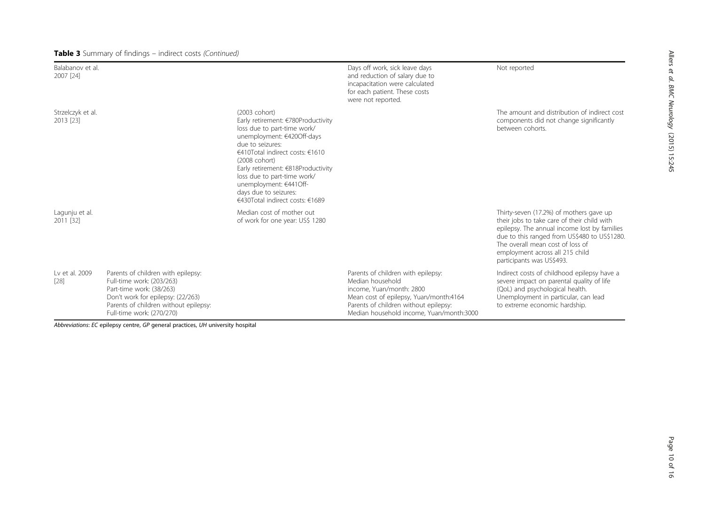Table 3 Summary of findings – indirect costs (Continued)

| Balabanov et al.<br>2007 [24]  |                                                                                                                                                                                                        |                                                                                                                                                                                                                                                                                                                                                     | Days off work, sick leave days<br>and reduction of salary due to<br>incapacitation were calculated<br>for each patient. These costs<br>were not reported.                                                         | Not reported                                                                                                                                                                                                                                                                               |
|--------------------------------|--------------------------------------------------------------------------------------------------------------------------------------------------------------------------------------------------------|-----------------------------------------------------------------------------------------------------------------------------------------------------------------------------------------------------------------------------------------------------------------------------------------------------------------------------------------------------|-------------------------------------------------------------------------------------------------------------------------------------------------------------------------------------------------------------------|--------------------------------------------------------------------------------------------------------------------------------------------------------------------------------------------------------------------------------------------------------------------------------------------|
| Strzelczyk et al.<br>2013 [23] |                                                                                                                                                                                                        | (2003 cohort)<br>Early retirement: €780Productivity<br>loss due to part-time work/<br>unemployment: €420Off-days<br>due to seizures:<br>€410Total indirect costs: €1610<br>(2008 cohort)<br>Early retirement: €818Productivity<br>loss due to part-time work/<br>unemployment: €441Off-<br>days due to seizures:<br>€430Total indirect costs: €1689 |                                                                                                                                                                                                                   | The amount and distribution of indirect cost<br>components did not change significantly<br>between cohorts.                                                                                                                                                                                |
| Lagunju et al.<br>2011 [32]    |                                                                                                                                                                                                        | Median cost of mother out<br>of work for one year: US\$ 1280                                                                                                                                                                                                                                                                                        |                                                                                                                                                                                                                   | Thirty-seven (17.2%) of mothers gave up<br>their jobs to take care of their child with<br>epilepsy. The annual income lost by families<br>due to this ranged from US\$480 to US\$1280.<br>The overall mean cost of loss of<br>employment across all 215 child<br>participants was US\$493. |
| Ly et al. 2009<br>$[28]$       | Parents of children with epilepsy:<br>Full-time work: (203/263)<br>Part-time work: (38/263)<br>Don't work for epilepsy: (22/263)<br>Parents of children without epilepsy:<br>Full-time work: (270/270) |                                                                                                                                                                                                                                                                                                                                                     | Parents of children with epilepsy:<br>Median household<br>income. Yuan/month: 2800<br>Mean cost of epilepsy, Yuan/month:4164<br>Parents of children without epilepsy:<br>Median household income, Yuan/month:3000 | Indirect costs of childhood epilepsy have a<br>severe impact on parental quality of life<br>(QoL) and psychological health.<br>Unemployment in particular, can lead<br>to extreme economic hardship.                                                                                       |

Abbreviations: EC epilepsy centre, GP general practices, UH university hospital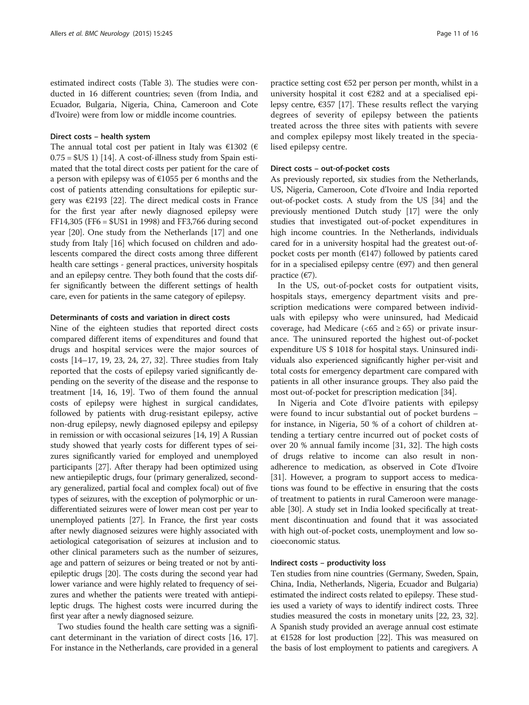estimated indirect costs (Table [3](#page-8-0)). The studies were conducted in 16 different countries; seven (from India, and Ecuador, Bulgaria, Nigeria, China, Cameroon and Cote d'Ivoire) were from low or middle income countries.

#### Direct costs – health system

The annual total cost per patient in Italy was  $\epsilon$ 1302 ( $\epsilon$ 0.75 = \$US 1) [\[14\]](#page-14-0). A cost-of-illness study from Spain estimated that the total direct costs per patient for the care of a person with epilepsy was of €1055 per 6 months and the cost of patients attending consultations for epileptic surgery was €2193 [\[22](#page-15-0)]. The direct medical costs in France for the first year after newly diagnosed epilepsy were FF14,305 (FF6 = \$US1 in 1998) and FF3,766 during second year [\[20\]](#page-15-0). One study from the Netherlands [[17](#page-15-0)] and one study from Italy [[16](#page-14-0)] which focused on children and adolescents compared the direct costs among three different health care settings - general practices, university hospitals and an epilepsy centre. They both found that the costs differ significantly between the different settings of health care, even for patients in the same category of epilepsy.

#### Determinants of costs and variation in direct costs

Nine of the eighteen studies that reported direct costs compared different items of expenditures and found that drugs and hospital services were the major sources of costs [\[14](#page-14-0)–[17](#page-15-0), [19](#page-15-0), [23](#page-15-0), [24](#page-15-0), [27](#page-15-0), [32\]](#page-15-0). Three studies from Italy reported that the costs of epilepsy varied significantly depending on the severity of the disease and the response to treatment [[14](#page-14-0), [16,](#page-14-0) [19](#page-15-0)]. Two of them found the annual costs of epilepsy were highest in surgical candidates, followed by patients with drug-resistant epilepsy, active non-drug epilepsy, newly diagnosed epilepsy and epilepsy in remission or with occasional seizures [[14](#page-14-0), [19\]](#page-15-0) A Russian study showed that yearly costs for different types of seizures significantly varied for employed and unemployed participants [\[27](#page-15-0)]. After therapy had been optimized using new antiepileptic drugs, four (primary generalized, secondary generalized, partial focal and complex focal) out of five types of seizures, with the exception of polymorphic or undifferentiated seizures were of lower mean cost per year to unemployed patients [\[27\]](#page-15-0). In France, the first year costs after newly diagnosed seizures were highly associated with aetiological categorisation of seizures at inclusion and to other clinical parameters such as the number of seizures, age and pattern of seizures or being treated or not by antiepileptic drugs [\[20\]](#page-15-0). The costs during the second year had lower variance and were highly related to frequency of seizures and whether the patients were treated with antiepileptic drugs. The highest costs were incurred during the first year after a newly diagnosed seizure.

Two studies found the health care setting was a significant determinant in the variation of direct costs [\[16](#page-14-0), [17](#page-15-0)]. For instance in the Netherlands, care provided in a general

practice setting cost €52 per person per month, whilst in a university hospital it cost €282 and at a specialised epilepsy centre,  $\epsilon$ 357 [\[17\]](#page-15-0). These results reflect the varying degrees of severity of epilepsy between the patients treated across the three sites with patients with severe and complex epilepsy most likely treated in the specialised epilepsy centre.

#### Direct costs – out-of-pocket costs

As previously reported, six studies from the Netherlands, US, Nigeria, Cameroon, Cote d'Ivoire and India reported out-of-pocket costs. A study from the US [\[34\]](#page-15-0) and the previously mentioned Dutch study [\[17\]](#page-15-0) were the only studies that investigated out-of-pocket expenditures in high income countries. In the Netherlands, individuals cared for in a university hospital had the greatest out-ofpocket costs per month  $(£147)$  followed by patients cared for in a specialised epilepsy centre  $(697)$  and then general practice  $(\epsilon 7)$ .

In the US, out-of-pocket costs for outpatient visits, hospitals stays, emergency department visits and prescription medications were compared between individuals with epilepsy who were uninsured, had Medicaid coverage, had Medicare (<65 and  $\geq$  65) or private insurance. The uninsured reported the highest out-of-pocket expenditure US \$ 1018 for hospital stays. Uninsured individuals also experienced significantly higher per-visit and total costs for emergency department care compared with patients in all other insurance groups. They also paid the most out-of-pocket for prescription medication [\[34](#page-15-0)].

In Nigeria and Cote d'Ivoire patients with epilepsy were found to incur substantial out of pocket burdens – for instance, in Nigeria, 50 % of a cohort of children attending a tertiary centre incurred out of pocket costs of over 20 % annual family income [\[31, 32](#page-15-0)]. The high costs of drugs relative to income can also result in nonadherence to medication, as observed in Cote d'Ivoire [[31](#page-15-0)]. However, a program to support access to medications was found to be effective in ensuring that the costs of treatment to patients in rural Cameroon were manageable [\[30\]](#page-15-0). A study set in India looked specifically at treatment discontinuation and found that it was associated with high out-of-pocket costs, unemployment and low socioeconomic status.

#### Indirect costs – productivity loss

Ten studies from nine countries (Germany, Sweden, Spain, China, India, Netherlands, Nigeria, Ecuador and Bulgaria) estimated the indirect costs related to epilepsy. These studies used a variety of ways to identify indirect costs. Three studies measured the costs in monetary units [\[22, 23](#page-15-0), [32](#page-15-0)]. A Spanish study provided an average annual cost estimate at  $E$ 1528 for lost production [\[22\]](#page-15-0). This was measured on the basis of lost employment to patients and caregivers. A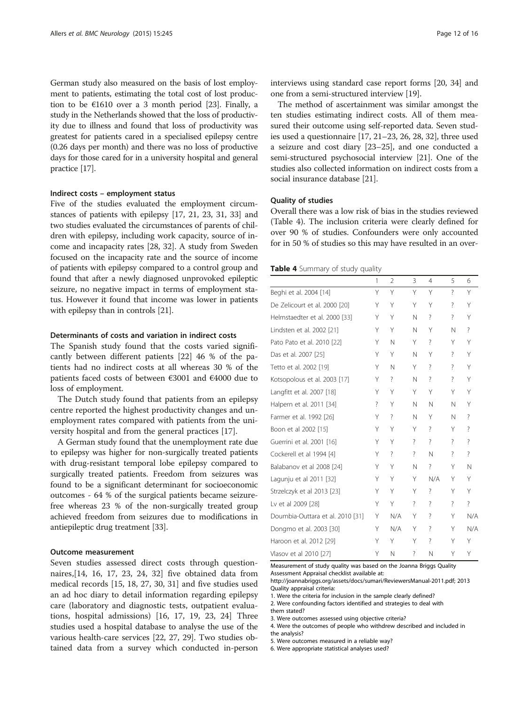German study also measured on the basis of lost employment to patients, estimating the total cost of lost production to be  $E1610$  over a 3 month period [[23](#page-15-0)]. Finally, a study in the Netherlands showed that the loss of productivity due to illness and found that loss of productivity was greatest for patients cared in a specialised epilepsy centre (0.26 days per month) and there was no loss of productive days for those cared for in a university hospital and general practice [\[17\]](#page-15-0).

#### Indirect costs – employment status

Five of the studies evaluated the employment circumstances of patients with epilepsy [[17](#page-15-0), [21, 23](#page-15-0), [31](#page-15-0), [33\]](#page-15-0) and two studies evaluated the circumstances of parents of children with epilepsy, including work capacity, source of income and incapacity rates [[28](#page-15-0), [32](#page-15-0)]. A study from Sweden focused on the incapacity rate and the source of income of patients with epilepsy compared to a control group and found that after a newly diagnosed unprovoked epileptic seizure, no negative impact in terms of employment status. However it found that income was lower in patients with epilepsy than in controls [[21](#page-15-0)].

#### Determinants of costs and variation in indirect costs

The Spanish study found that the costs varied significantly between different patients [\[22](#page-15-0)] 46 % of the patients had no indirect costs at all whereas 30 % of the patients faced costs of between €3001 and €4000 due to loss of employment.

The Dutch study found that patients from an epilepsy centre reported the highest productivity changes and unemployment rates compared with patients from the university hospital and from the general practices [\[17](#page-15-0)].

A German study found that the unemployment rate due to epilepsy was higher for non-surgically treated patients with drug-resistant temporal lobe epilepsy compared to surgically treated patients. Freedom from seizures was found to be a significant determinant for socioeconomic outcomes - 64 % of the surgical patients became seizurefree whereas 23 % of the non-surgically treated group achieved freedom from seizures due to modifications in antiepileptic drug treatment [\[33\]](#page-15-0).

#### Outcome measurement

Seven studies assessed direct costs through questionnaires,[\[14](#page-14-0), [16](#page-14-0), [17](#page-15-0), [23, 24, 32\]](#page-15-0) five obtained data from medical records [\[15](#page-14-0), [18](#page-15-0), [27](#page-15-0), [30](#page-15-0), [31](#page-15-0)] and five studies used an ad hoc diary to detail information regarding epilepsy care (laboratory and diagnostic tests, outpatient evaluations, hospital admissions) [[16](#page-14-0), [17, 19](#page-15-0), [23, 24](#page-15-0)] Three studies used a hospital database to analyse the use of the various health-care services [\[22, 27, 29](#page-15-0)]. Two studies obtained data from a survey which conducted in-person interviews using standard case report forms [[20](#page-15-0), [34\]](#page-15-0) and one from a semi-structured interview [[19\]](#page-15-0).

The method of ascertainment was similar amongst the ten studies estimating indirect costs. All of them measured their outcome using self-reported data. Seven studies used a questionnaire [\[17, 21](#page-15-0)–[23, 26](#page-15-0), [28, 32](#page-15-0)], three used a seizure and cost diary [[23](#page-15-0)–[25](#page-15-0)], and one conducted a semi-structured psychosocial interview [\[21\]](#page-15-0). One of the studies also collected information on indirect costs from a social insurance database [[21](#page-15-0)].

#### Quality of studies

Overall there was a low risk of bias in the studies reviewed (Table 4). The inclusion criteria were clearly defined for over 90 % of studies. Confounders were only accounted for in 50 % of studies so this may have resulted in an over-

#### Table 4 Summary of study quality

|                                  | 1                  | $\overline{2}$ | 3                        | $\overline{4}$           | 5                        | 6                        |
|----------------------------------|--------------------|----------------|--------------------------|--------------------------|--------------------------|--------------------------|
|                                  |                    |                |                          |                          |                          |                          |
| Beghi et al. 2004 [14]           | Υ                  | Υ              | Υ                        | Υ                        | $\overline{\phantom{a}}$ | Υ                        |
| De Zelicourt et al. 2000 [20]    | Υ                  | Υ              | Y                        | Υ                        | $\overline{\mathcal{E}}$ | Υ                        |
| Helmstaedter et al. 2000 [33]    | Υ                  | Υ              | N                        | ?                        | ?                        | Υ                        |
| Lindsten et al. 2002 [21]        | Υ                  | Υ              | N                        | Υ                        | N                        | $\overline{\cdot}$       |
| Pato Pato et al. 2010 [22]       | Υ                  | N              | Υ                        | ?                        | Υ                        | Υ                        |
| Das et al. 2007 [25]             | Υ                  | Υ              | N                        | Υ                        | $\overline{\mathcal{E}}$ | Υ                        |
| Tetto et al. 2002 [19]           | Υ                  | N              | Y                        | ?                        | ?                        | Υ                        |
| Kotsopolous et al. 2003 [17]     | Υ                  | ?              | N                        | $\overline{\phantom{a}}$ | $\overline{\phantom{a}}$ | Υ                        |
| Langfitt et al. 2007 [18]        | Υ                  | Υ              | Υ                        | Υ                        | Υ                        | Υ                        |
| Halpern et al. 2011 [34]         | $\overline{\cdot}$ | Υ              | N                        | $\mathsf{N}$             | N                        | Υ                        |
| Farmer et al. 1992 [26]          | Υ                  | 7              | N                        | Υ                        | N                        | ?                        |
| Boon et al 2002 [15]             | Υ                  | Υ              | Υ                        | $\overline{\mathcal{C}}$ | Υ                        | $\overline{\mathcal{E}}$ |
| Guerrini et al. 2001 [16]        | Υ                  | Υ              | ?                        | $\overline{\mathcal{C}}$ | ?                        | ?                        |
| Cockerell et al 1994 [4]         | Υ                  | ?              | ?                        | N                        | $\overline{\cdot}$       | ?                        |
| Balabanov et al 2008 [24]        | Υ                  | Υ              | N                        | ?                        | Υ                        | N                        |
| Lagunju et al 2011 [32]          | Υ                  | Υ              | Y                        | N/A                      | Υ                        | Υ                        |
| Strzelczyk et al 2013 [23]       | Υ                  | Υ              | Υ                        | $\gamma$                 | Υ                        | Υ                        |
| Lv et al 2009 [28]               | Υ                  | Υ              | $\overline{\phantom{a}}$ | $\overline{\phantom{a}}$ | $\overline{\phantom{a}}$ | $\overline{\phantom{a}}$ |
| Doumbia-Outtara et al. 2010 [31] | Υ                  | N/A            | Υ                        | ?                        | Υ                        | N/A                      |
| Dongmo et al. 2003 [30]          | Υ                  | N/A            | Υ                        | ?                        | Υ                        | N/A                      |
| Haroon et al. 2012 [29]          | Υ                  | Υ              | Υ                        | $\overline{\cdot}$       | Υ                        | Υ                        |
| Vlasov et al 2010 [27]           | Υ                  | N              | $\overline{\mathcal{C}}$ | N                        | Υ                        | Υ                        |

Measurement of study quality was based on the Joanna Briggs Quality Assessment Appraisal checklist available at:

http://joannabriggs.org/assets/docs/sumari/ReviewersManual-2011.pdf; 2013 Quality appraisal criteria:

1. Were the criteria for inclusion in the sample clearly defined?

2. Were confounding factors identified and strategies to deal with them stated?

3. Were outcomes assessed using objective criteria?

4. Were the outcomes of people who withdrew described and included in the analysis?

5. Were outcomes measured in a reliable way?

6. Were appropriate statistical analyses used?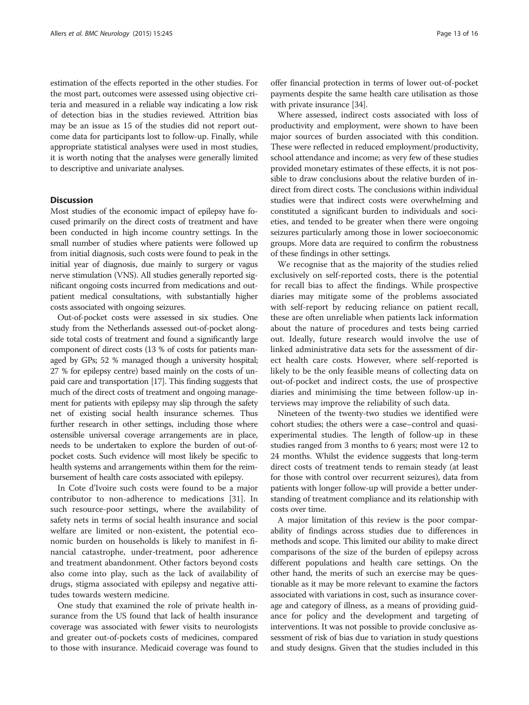estimation of the effects reported in the other studies. For the most part, outcomes were assessed using objective criteria and measured in a reliable way indicating a low risk of detection bias in the studies reviewed. Attrition bias may be an issue as 15 of the studies did not report outcome data for participants lost to follow-up. Finally, while appropriate statistical analyses were used in most studies, it is worth noting that the analyses were generally limited to descriptive and univariate analyses.

#### **Discussion**

Most studies of the economic impact of epilepsy have focused primarily on the direct costs of treatment and have been conducted in high income country settings. In the small number of studies where patients were followed up from initial diagnosis, such costs were found to peak in the initial year of diagnosis, due mainly to surgery or vagus nerve stimulation (VNS). All studies generally reported significant ongoing costs incurred from medications and outpatient medical consultations, with substantially higher costs associated with ongoing seizures.

Out-of-pocket costs were assessed in six studies. One study from the Netherlands assessed out-of-pocket alongside total costs of treatment and found a significantly large component of direct costs (13 % of costs for patients managed by GPs; 52 % managed though a university hospital; 27 % for epilepsy centre) based mainly on the costs of unpaid care and transportation [\[17\]](#page-15-0). This finding suggests that much of the direct costs of treatment and ongoing management for patients with epilepsy may slip through the safety net of existing social health insurance schemes. Thus further research in other settings, including those where ostensible universal coverage arrangements are in place, needs to be undertaken to explore the burden of out-ofpocket costs. Such evidence will most likely be specific to health systems and arrangements within them for the reimbursement of health care costs associated with epilepsy.

In Cote d'Ivoire such costs were found to be a major contributor to non-adherence to medications [\[31\]](#page-15-0). In such resource-poor settings, where the availability of safety nets in terms of social health insurance and social welfare are limited or non-existent, the potential economic burden on households is likely to manifest in financial catastrophe, under-treatment, poor adherence and treatment abandonment. Other factors beyond costs also come into play, such as the lack of availability of drugs, stigma associated with epilepsy and negative attitudes towards western medicine.

One study that examined the role of private health insurance from the US found that lack of health insurance coverage was associated with fewer visits to neurologists and greater out-of-pockets costs of medicines, compared to those with insurance. Medicaid coverage was found to

offer financial protection in terms of lower out-of-pocket payments despite the same health care utilisation as those with private insurance [\[34\]](#page-15-0).

Where assessed, indirect costs associated with loss of productivity and employment, were shown to have been major sources of burden associated with this condition. These were reflected in reduced employment/productivity, school attendance and income; as very few of these studies provided monetary estimates of these effects, it is not possible to draw conclusions about the relative burden of indirect from direct costs. The conclusions within individual studies were that indirect costs were overwhelming and constituted a significant burden to individuals and societies, and tended to be greater when there were ongoing seizures particularly among those in lower socioeconomic groups. More data are required to confirm the robustness of these findings in other settings.

We recognise that as the majority of the studies relied exclusively on self-reported costs, there is the potential for recall bias to affect the findings. While prospective diaries may mitigate some of the problems associated with self-report by reducing reliance on patient recall, these are often unreliable when patients lack information about the nature of procedures and tests being carried out. Ideally, future research would involve the use of linked administrative data sets for the assessment of direct health care costs. However, where self-reported is likely to be the only feasible means of collecting data on out-of-pocket and indirect costs, the use of prospective diaries and minimising the time between follow-up interviews may improve the reliability of such data.

Nineteen of the twenty-two studies we identified were cohort studies; the others were a case–control and quasiexperimental studies. The length of follow-up in these studies ranged from 3 months to 6 years; most were 12 to 24 months. Whilst the evidence suggests that long-term direct costs of treatment tends to remain steady (at least for those with control over recurrent seizures), data from patients with longer follow-up will provide a better understanding of treatment compliance and its relationship with costs over time.

A major limitation of this review is the poor comparability of findings across studies due to differences in methods and scope. This limited our ability to make direct comparisons of the size of the burden of epilepsy across different populations and health care settings. On the other hand, the merits of such an exercise may be questionable as it may be more relevant to examine the factors associated with variations in cost, such as insurance coverage and category of illness, as a means of providing guidance for policy and the development and targeting of interventions. It was not possible to provide conclusive assessment of risk of bias due to variation in study questions and study designs. Given that the studies included in this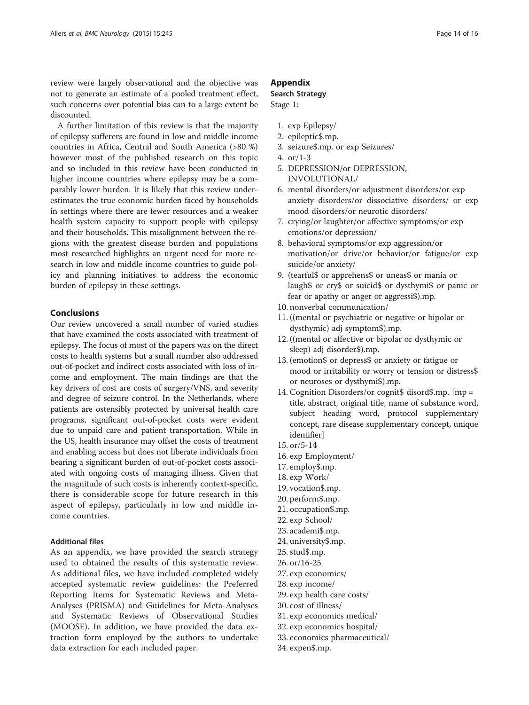<span id="page-13-0"></span>review were largely observational and the objective was not to generate an estimate of a pooled treatment effect, such concerns over potential bias can to a large extent be discounted.

A further limitation of this review is that the majority of epilepsy sufferers are found in low and middle income countries in Africa, Central and South America (>80 %) however most of the published research on this topic and so included in this review have been conducted in higher income countries where epilepsy may be a comparably lower burden. It is likely that this review underestimates the true economic burden faced by households in settings where there are fewer resources and a weaker health system capacity to support people with epilepsy and their households. This misalignment between the regions with the greatest disease burden and populations most researched highlights an urgent need for more research in low and middle income countries to guide policy and planning initiatives to address the economic burden of epilepsy in these settings.

#### Conclusions

Our review uncovered a small number of varied studies that have examined the costs associated with treatment of epilepsy. The focus of most of the papers was on the direct costs to health systems but a small number also addressed out-of-pocket and indirect costs associated with loss of income and employment. The main findings are that the key drivers of cost are costs of surgery/VNS, and severity and degree of seizure control. In the Netherlands, where patients are ostensibly protected by universal health care programs, significant out-of-pocket costs were evident due to unpaid care and patient transportation. While in the US, health insurance may offset the costs of treatment and enabling access but does not liberate individuals from bearing a significant burden of out-of-pocket costs associated with ongoing costs of managing illness. Given that the magnitude of such costs is inherently context-specific, there is considerable scope for future research in this aspect of epilepsy, particularly in low and middle income countries.

#### Additional files

As an appendix, we have provided the search strategy used to obtained the results of this systematic review. As additional files, we have included completed widely accepted systematic review guidelines: the Preferred Reporting Items for Systematic Reviews and Meta-Analyses (PRISMA) and Guidelines for Meta-Analyses and Systematic Reviews of Observational Studies (MOOSE). In addition, we have provided the data extraction form employed by the authors to undertake data extraction for each included paper.

#### Appendix

# Search Strategy

Stage 1:

- 1. exp Epilepsy/
- 2. epileptic\$.mp.
- 3. seizure\$.mp. or exp Seizures/
- 4. or/1-3
- 5. DEPRESSION/or DEPRESSION, INVOLUTIONAL/
- 6. mental disorders/or adjustment disorders/or exp anxiety disorders/or dissociative disorders/ or exp mood disorders/or neurotic disorders/
- 7. crying/or laughter/or affective symptoms/or exp emotions/or depression/
- 8. behavioral symptoms/or exp aggression/or motivation/or drive/or behavior/or fatigue/or exp suicide/or anxiety/
- 9. (tearful\$ or apprehens\$ or uneas\$ or mania or laugh\$ or cry\$ or suicid\$ or dysthymi\$ or panic or fear or apathy or anger or aggressi\$).mp.
- 10. nonverbal communication/
- 11. ((mental or psychiatric or negative or bipolar or dysthymic) adj symptom\$).mp.
- 12. ((mental or affective or bipolar or dysthymic or sleep) adj disorder\$).mp.
- 13. (emotion\$ or depress\$ or anxiety or fatigue or mood or irritability or worry or tension or distress\$ or neuroses or dysthymi\$).mp.
- 14. Cognition Disorders/or cognit\$ disord\$.mp. [mp = title, abstract, original title, name of substance word, subject heading word, protocol supplementary concept, rare disease supplementary concept, unique identifier]
- 15. or/5-14
- 16. exp Employment/
- 17. employ\$.mp.
- 18. exp Work/
- 19. vocation\$.mp.
- 20. perform\$.mp.
- 21. occupation\$.mp.
- 22. exp School/
- 23. academi\$.mp.
- 24. university\$.mp.
- 25.stud\$.mp.
- 26. or/16-25
- 27. exp economics/
- 28. exp income/
- 29. exp health care costs/
- 30. cost of illness/
- 31. exp economics medical/
- 32. exp economics hospital/
- 33. economics pharmaceutical/
- 34. expen\$.mp.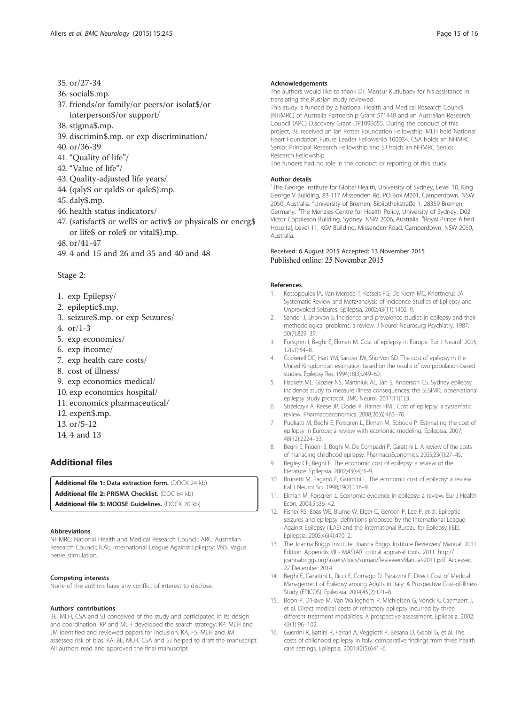- <span id="page-14-0"></span>35. or/27-34
- 36.social\$.mp.
- 37. friends/or family/or peers/or isolat\$/or interperson\$/or support/
- 38.stigma\$.mp.
- 39. discrimin\$.mp. or exp discrimination/
- 40. or/36-39
- 41. "Quality of life"/
- 42. "Value of life"/
- 43. Quality-adjusted life years/
- 44. (qaly\$ or qald\$ or qale\$).mp.
- 45. daly\$.mp.
- 46. health status indicators/
- 47. (satisfact\$ or well\$ or activ\$ or physical\$ or energ\$ or life\$ or role\$ or vital\$).mp.
- 48. or/41-47
- 49. 4 and 15 and 26 and 35 and 40 and 48

#### Stage 2:

- 1. exp Epilepsy/
- 2. epileptic\$.mp.
- 3. seizure\$.mp. or exp Seizures/
- 4. or/1-3
- 5. exp economics/
- 6. exp income/
- 7. exp health care costs/
- 8. cost of illness/
- 9. exp economics medical/
- 10. exp economics hospital/
- 11. economics pharmaceutical/
- 12. expen\$.mp.
- 13. or/5-12
- 14. 4 and 13

### Additional files

[Additional file 1:](dx.doi.org/10.1186/s12883-015-0494-y) Data extraction form. (DOCX 24 kb) [Additional file 2:](dx.doi.org/10.1186/s12883-015-0494-y) PRISMA Checklist. (DOC 64 kb) [Additional file 3:](dx.doi.org/10.1186/s12883-015-0494-y) MOOSE Guidelines. (DOCX 20 kb)

#### Abbreviations

NHMRC: National Health and Medical Research Council; ARC: Australian Research Council; ILAE: International League Against Epilepsy; VNS: Vagus nerve stimulation.

#### Competing interests

None of the authors have any conflict of interest to disclose.

#### Authors' contributions

BE, MLH, CSA and SJ conceived of the study and participated in its design and coordination. KP and MLH developed the search strategy. KP, MLH and JM identified and reviewed papers for inclusion. KA, FS, MLH and JM assessed risk of bias. KA, BE, MLH, CSA and SJ helped to draft the manuscript. All authors read and approved the final manuscript.

#### Acknowledgements

The authors would like to thank Dr. Mansur Kutlubaev for his assistance in translating the Russian study reviewed.

This study is funded by a National Health and Medical Research Council (NHMRC) of Australia Partnership Grant 571448 and an Australian Research Council (ARC) Discovery Grant DP1096655. During the conduct of this project, BE received an Ian Potter Foundation Fellowship, MLH held National Heart Foundation Future Leader Fellowship 100034. CSA holds an NHMRC Senior Principal Research Fellowship and SJ holds an NHMRC Senior Research Fellowship.

The funders had no role in the conduct or reporting of this study.

#### Author details

<sup>1</sup>The George Institute for Global Health, University of Sydney, Level 10, King George V Building, 83-117 Missenden Rd, PO Box M201, Camperdown, NSW 2050, Australia. <sup>2</sup>University of Bremen, Bibliothekstraße 1, 28359 Bremen, Germany. <sup>3</sup>The Menzies Centre for Health Policy, University of Sydney, D02 Victor Coppleson Building, Sydney, NSW 2006, Australia. <sup>4</sup>Royal Prince Alfred Hospital, Level 11, KGV Building, Missenden Road, Camperdown, NSW 2050, Australia.

# Received: 6 August 2015 Accepted: 13 November 2015

#### References

- 1. Kotsopoulos IA, Van Merode T, Kessels FG, De Krom MC, Knottnerus JA. Systematic Review and Meta-analysis of Incidence Studies of Epilepsy and Unprovoked Seizures. Epilepsia. 2002;43(11):1402–9.
- 2. Sander J, Shorvon S, Incidence and prevalence studies in epilepsy and their methodological problems: a review. J Neurol Neurosurg Psychiatry. 1987; 50(7):829–39.
- 3. Forsgren I, Beghi E, Ekman M. Cost of epilepsy in Europe. Eur J Neurol. 2005; 12(s1):54–8.
- 4. Cockerell OC, Hart YM, Sander JW, Shorvon SD. The cost of epilepsy in the United Kingdom: an estimation based on the results of two population-based studies. Epilepsy Res. 1994;18(3):249–60.
- 5. Hackett ML, Glozier NS, Martiniuk AL, Jan S, Anderson CS. Sydney epilepsy incidence study to measure illness consequences: the SESIMIC observational epilepsy study protocol. BMC Neurol. 2011;11(1):3.
- 6. Strzelczyk A, Reese JP, Dodel R, Hamer HM . Cost of epilepsy: a systematic review. Pharmacoeconomics. 2008;26(6):463–76.
- 7. Pugliatti M, Beghi E, Forsgren L, Ekman M, Sobocki P. Estimating the cost of epilepsy in Europe: a review with economic modeling. Epilepsia. 2007; 48(12):2224–33.
- 8. Beghi E, Frigeni B, Beghi M, De Compadri P, Garattini L, A review of the costs of managing childhood epilepsy. PharmacoEconomics. 2005;23(1):27–45.
- 9. Begley CE, Beghi E. The economic cost of epilepsy: a review of the literature. Epilepsia. 2002;43(s4):3–9.
- 10. Brunetti M, Pagano E, Garattini L. The economic cost of epilepsy: a review. Ital J Neurol Sci. 1998;19(2):116–9.
- 11. Ekman M, Forsgren L. Economic evidence in epilepsy: a review. Eur J Health Econ. 2004;5:s36–42.
- 12. Fisher RS, Boas WE, Blume W, Elger C, Genton P, Lee P, et al. Epileptic seizures and epilepsy: definitions proposed by the International League Against Epilepsy (ILAE) and the International Bureau for Epilepsy (IBE). Epilepsia. 2005;46(4):470–2.
- 13. The Joanna Briggs Institute. Joanna Briggs Institute Reviewers' Manual: 2011 Edition. Appendix VII - MAStARI critical appraisal tools. 2011. [http://](http://joannabriggs.org/assets/docs/sumari/ReviewersManual-2011.pdf) [joannabriggs.org/assets/docs/sumari/ReviewersManual-2011.pdf.](http://joannabriggs.org/assets/docs/sumari/ReviewersManual-2011.pdf) Accessed 22 December 2014.
- 14. Beghi E, Garattini L, Ricci E, Cornago D, Parazzini F. Direct Cost of Medical Management of Epilepsy among Adults in Italy: A Prospective Cost-of-Illness Study (EPICOS). Epilepsia. 2004;45(2):171–8.
- 15. Boon P, D'Have M, Van Walleghem P, Michielsen G, Vonck K, Caemaert J, et al. Direct medical costs of refractory epilepsy incurred by three different treatment modalities: A prospective assessment. Epilepsia. 2002; 43(1):96–102.
- 16. Guerrini R, Battini R, Ferrari A, Veggiotti P, Besana D, Gobbi G, et al. The costs of childhood epilepsy in Italy: comparative findings from three health care settings. Epilepsia. 2001;42(5):641–6.